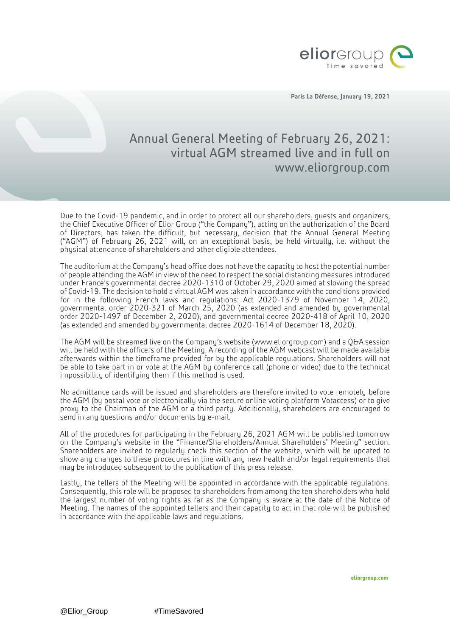

Paris La Défense, January 19, 2021

## Annual General Meeting of February 26, 2021: virtual AGM streamed live and in full on www.eliorgroup.com

Due to the Covid-19 pandemic, and in order to protect all our shareholders, guests and organizers, the Chief Executive Officer of Elior Group ("the Company"), acting on the authorization of the Board of Directors, has taken the difficult, but necessary, decision that the Annual General Meeting ("AGM") of February 26, 2021 will, on an exceptional basis, be held virtually, i.e. without the physical attendance of shareholders and other eligible attendees.

The auditorium at the Company's head office does not have the capacity to host the potential number of people attending the AGM in view of the need to respect the social distancing measures introduced under France's governmental decree 2020-1310 of October 29, 2020 aimed at slowing the spread of Covid-19. The decision to hold a virtual AGM was taken in accordance with the conditions provided for in the following French laws and regulations: Act 2020-1379 of November 14, 2020, governmental order 2020-321 of March 25, 2020 (as extended and amended by governmental order 2020-1497 of December 2, 2020), and governmental decree 2020-418 of April 10, 2020 (as extended and amended by governmental decree 2020-1614 of December 18, 2020).

The AGM will be streamed live on the Company's website (www.eliorgroup.com) and a Q&A session will be held with the officers of the Meeting. A recording of the AGM webcast will be made available afterwards within the timeframe provided for by the applicable regulations. Shareholders will not be able to take part in or vote at the AGM by conference call (phone or video) due to the technical impossibility of identifying them if this method is used.

No admittance cards will be issued and shareholders are therefore invited to vote remotely before the AGM (by postal vote or electronically via the secure online voting platform Votaccess) or to give proxy to the Chairman of the AGM or a third party. Additionally, shareholders are encouraged to send in any questions and/or documents by e-mail.

All of the procedures for participating in the February 26, 2021 AGM will be published tomorrow on the Company's website in the "Finance/Shareholders/Annual Shareholders' Meeting" section. Shareholders are invited to regularly check this section of the website, which will be updated to show any changes to these procedures in line with any new health and/or legal requirements that may be introduced subsequent to the publication of this press release.

Lastly, the tellers of the Meeting will be appointed in accordance with the applicable regulations. Consequently, this role will be proposed to shareholders from among the ten shareholders who hold the largest number of voting rights as far as the Company is aware at the date of the Notice of Meeting. The names of the appointed tellers and their capacity to act in that role will be published in accordance with the applicable laws and regulations.